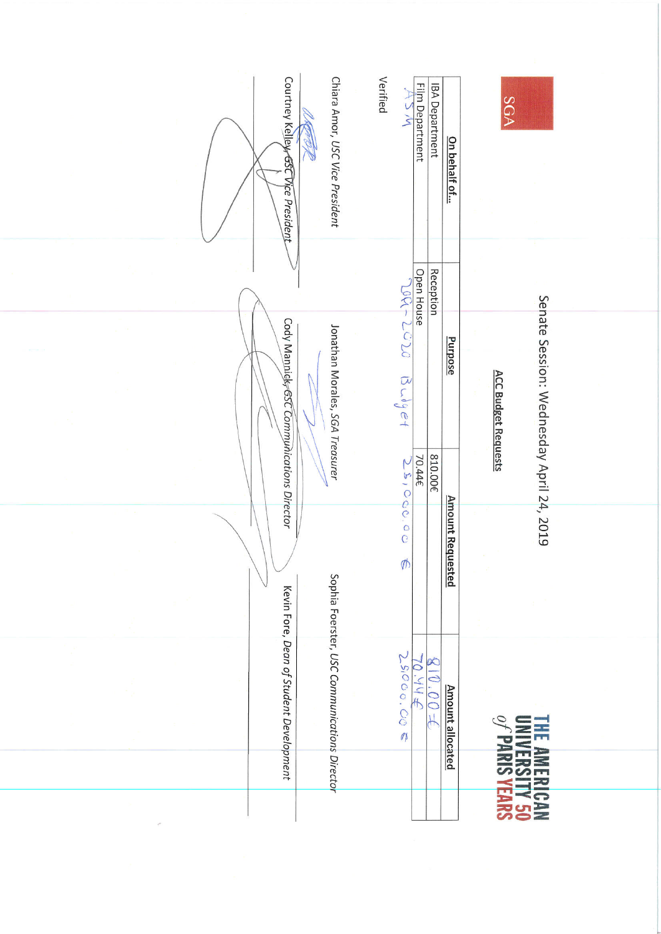|  | Courtney Kelley GSC Vice President       | Chiara Amor, USC Vice President              | Verified                                      | Film Department<br><b>IBA Department</b><br>$W \leq \tau$ | <u>On behalf of</u>     | SGA                                                                    |
|--|------------------------------------------|----------------------------------------------|-----------------------------------------------|-----------------------------------------------------------|-------------------------|------------------------------------------------------------------------|
|  |                                          |                                              | $7 - 001$                                     | <b>Open House</b><br>Reception                            |                         |                                                                        |
|  | Cody Mannick 6SC Communications Director | Jonathan Morales, SGA Treasurer              | $\mathcal{L}$<br>$\beta\sim^{\delta}\beta$ et | $\overline{C}$                                            | Purpose                 | Senate Session: Wednesday April 24, 2019<br><b>ACC Budget Requests</b> |
|  |                                          |                                              | 25,000.00                                     | 810.00€<br>70.44€                                         |                         |                                                                        |
|  |                                          |                                              | $\phi$                                        |                                                           | <b>Amount Requested</b> |                                                                        |
|  | Kevin Fore, Dean of Student Development  | Sophia Foerster, USC Communications Director | 25000.00<br>$\mathbb{Z}$                      | œ<br>$\overline{\mathcal{O}}$ .<br>d<br>テトド<br>FOO'       | <b>Amount allocated</b> |                                                                        |
|  |                                          |                                              |                                               |                                                           |                         | <b>THE AMERICAN<br/>UNIVERSITY 50<br/>ONIVERSITY 50</b>                |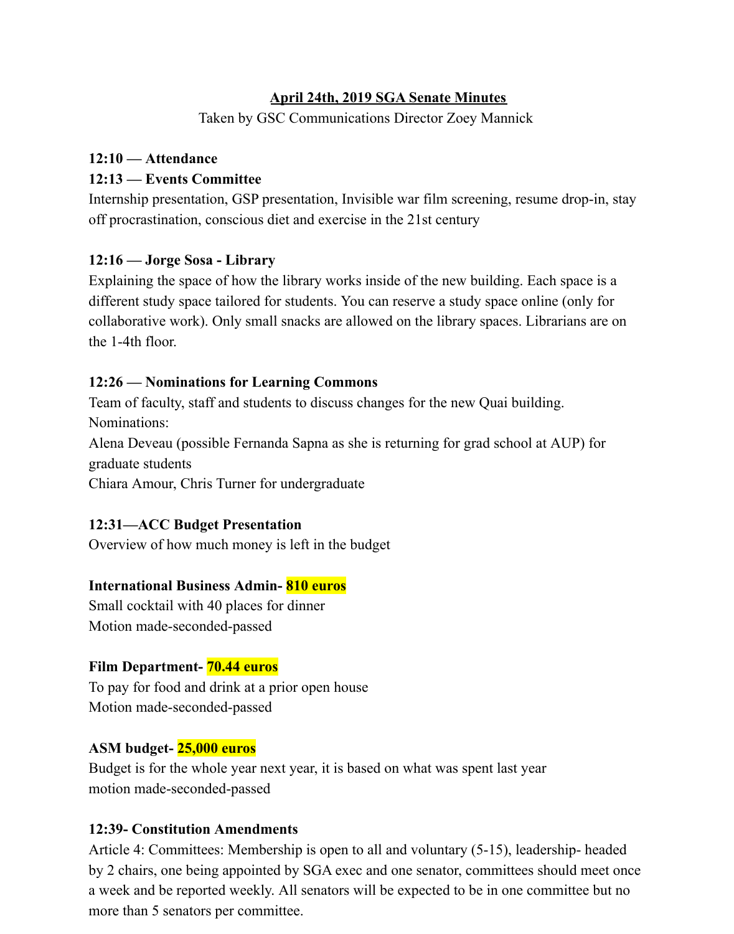#### **April 24th, 2019 SGA Senate Minutes**

Taken by GSC Communications Director Zoey Mannick

# **12:10 — Attendance**

## **12:13 — Events Committee**

Internship presentation, GSP presentation, Invisible war film screening, resume drop-in, stay off procrastination, conscious diet and exercise in the 21st century

## **12:16 — Jorge Sosa - Library**

Explaining the space of how the library works inside of the new building. Each space is a different study space tailored for students. You can reserve a study space online (only for collaborative work). Only small snacks are allowed on the library spaces. Librarians are on the 1-4th floor.

## **12:26 — Nominations for Learning Commons**

Team of faculty, staff and students to discuss changes for the new Quai building. Nominations:

Alena Deveau (possible Fernanda Sapna as she is returning for grad school at AUP) for graduate students

Chiara Amour, Chris Turner for undergraduate

## **12:31—ACC Budget Presentation**

Overview of how much money is left in the budget

## **International Business Admin- 810 euros**

Small cocktail with 40 places for dinner Motion made-seconded-passed

## **Film Department- 70.44 euros**

To pay for food and drink at a prior open house Motion made-seconded-passed

## **ASM budget- 25,000 euros**

Budget is for the whole year next year, it is based on what was spent last year motion made-seconded-passed

## **12:39- Constitution Amendments**

Article 4: Committees: Membership is open to all and voluntary (5-15), leadership- headed by 2 chairs, one being appointed by SGA exec and one senator, committees should meet once a week and be reported weekly. All senators will be expected to be in one committee but no more than 5 senators per committee.